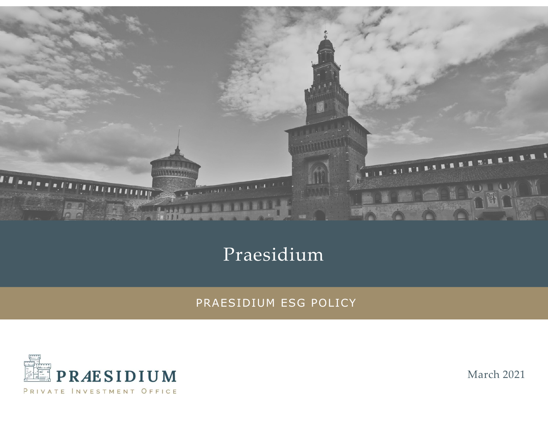

### Praesidium



March 2021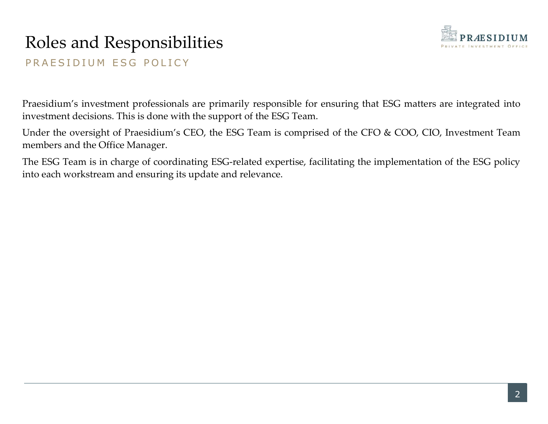# Roles and Responsibilities Roles and Responsibilities<br>PRAESIDIUM ESG POLICY<br>Praesidium's investment professionals are primarily responsible for ensuring that ESG m



**PRAESIDIUM ESG POLICY**<br>PRAESIDIUM ESG POLICY<br>Praesidium's investment professionals are primarily responsible for ensuring that ESG matters are integrated into<br>investment decisions. This is done with the support of the ESG **interpolarist School School School School School School School School School School School School School School School School School School School School School School School School School School School School School Scho** Roles and Responsibilities<br>
PRAESIDIUM ESG POLICY<br>
PRAESIDIUM ESG POLICY<br>
Praesidium's investment professionals are primarily responsible for ensuring that ESG matters are integrated into<br>
investment decisions. This is do Roles and Responsibilities<br>
PRAESIDIUM ESG POLICY<br>
Praesidium's investment professionals are primarily responsible for ensurin<br>
investment decisions. This is done with the support of the ESG Team.<br>
Under the oversight of P The ESG Team is in charge of coordinating ESG-related expertise, facilitating the implementation of the ESG Team is charge of coordinating ESG-related expertise, facilitating the implementation of the ESG policy. The ESG T **into and Responsibilities**<br> **EXECUTE PRAESIDIUM ESG POLICY**<br> **Praesidium's investment professionals are primarily responsible for ensuring that ESG matters are intinvestment decisions. This is done with the support of the**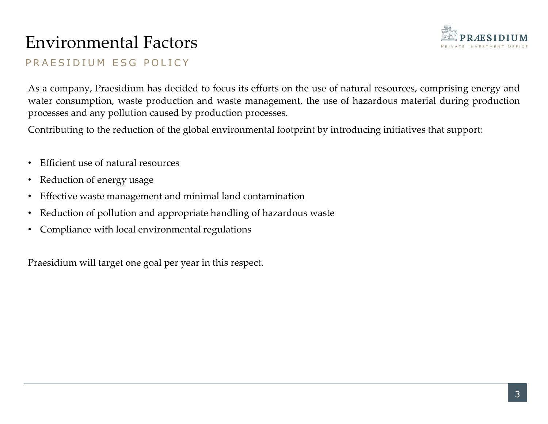### Environmental Factors



Environmental Factors<br>
PRAESIDIUM ESG POLICY<br>
As a company, Praesidium has decided to focus its efforts on the use of natural resource<br>
water consumption, waste production and waste management, the use of hazardous m Environmental Factors<br>
PRAESIDIUM ESG POLICY<br>
As a company, Praesidium has decided to focus its efforts on the use of natural resources, comprising energy and<br>
water consumption, waste production and waste management, the Environmental Factors<br>
PRAESIDIUM ESG POLICY<br>
As a company, Praesidium has decided to focus its efforts on the use of natural resources, comprising energy and<br>
water consumption, waste production and waste management, the **Environmental Factors**<br>
PRAESIDIUM ESG POLICY<br>
As a company, Praesidium has decided to focus its efforts on the use of natural resources, comprising<br>
water consumption, waste production and waste management, the use of ha Contribution of Packet and Hacket and the reduction of the reduction of the global environmental footprint and waster of the global environment, the use of hazardous material during production processes and any pollution c **ENVITONMENTAL FACTOTS**<br>
PRAESIDIUM ESG POLICY<br>
As a company, Praesidium has decided to focus its efforts on the use of nat<br>
water consumption, waste production and waste management, the use of P<br>
processes and any polluti **Environmental Factors**<br>
• RAESIDIUM ESG POLICY<br>
As a company, Praesidium has decided to focus its efforts on the use of natural resources, comprising<br>
mater consumption, waste production and waste management, the use of h ENVIFONIMENTAL FACTOFS<br>
• PRAESIDIUM ESG POLICY<br>
As a company, Praesidium has decided to focus its efforts on the use of natural resources, comprising energy and<br>
water consumption, waste production and waste management, • RAESIDIUM ESG POLICY<br>
As a company, Praesidium has decided to focus its efforts on the use of natural resources, co<br>
water consumption, waste production and waste management, the use of hazardous material<br>
processes and For consumption, was technical metals of obetain of the discussion of the discussion of the set of hazardous material duriplencesses and any pollution caused by production processes.<br>Contributing to the reduction of the gl

- 
- 
- 
- 
-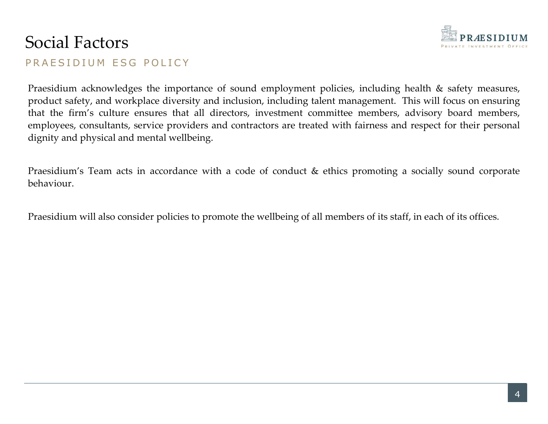## Social Factors



Social Factors<br>
PRAESIDIUM ESG POLICY<br>
Praesidium acknowledges the importance of sound employment policies, including h<br>
product safety, and workplace diversity and inclusion, including talent management. T **PRAESIDIUM**<br>
PRAESIDIUM ESG POLICY<br>
Praesidium acknowledges the importance of sound employment policies, including health & safety measures,<br>
product safety, and workplace diversity and inclusion, including talent managem **Social Factors**<br>PRAESIDIUM ESG POLICY<br>Praesidium acknowledges the importance of sound employment policies, including health & safety measures,<br>product safety, and workplace diversity and inclusion, including talent manage **EXECUTE PRAESIDIUM**<br>
PRAESIDIUM ESG POLICY<br>
Praesidium acknowledges the importance of sound employment policies, including health & safety measures,<br>
product safety, and workplace diversity and inclusion, including talent **EXECUTE PRAESIDIUM**<br> **EXECUTE PRAESIDIUM**<br> **EXECUTE PRAESIDIUM**<br> **PRAESIDIUM**<br> **PRAESIDIUM**<br> **PRAESIDIUM**<br> **PRAESIDIUM**<br> **PRAESIDIUM**<br> **PRAESIDIUM**<br> **PRAESIDIUM**<br> **PRAESIDIUM**<br> **PRAESIDIUM**<br> **PRAESIDIUM**<br> **PRAESIDIUM**<br> **P** Social Factors<br>
PRAESIDIUM ESG POLICY<br>
Praesidium acknowledges the importance of sound employment policies, includin<br>
product safety, and workplace diversity and inclusion, including talent management.<br>
that the firm's cul **Social Factors**<br>
PRAESIDIUM ESG POLICY<br>
PRAESIDIUM CONTABLY TO EXAMPLE TO SUPPOSE THE SOLUTE THAT AND THE SOLUTE THE SOLUTE THAT SOLUTE THE SOLUTE THAT SOLUTE THAT SOLUTE THAT SOLUTE THAT SOLUTE THAT SOLUTE THAT SOLUTE TH PRAESIDIUM ESG POLICY<br>
Praesidium acknowledges the importance of sound employment policies, including health & safety measures,<br>
product safety, and workplace diversity and inclusion, including talent management. This will

behaviour.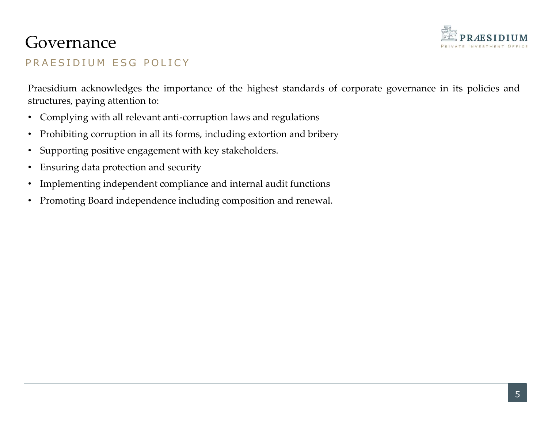

### Governance

**Governance**<br>
PRAESIDIUM ESG POLICY<br>
Praesidium acknowledges the importance of the highest standards of corporate gover<br>
structures, paying attention to: **COVETNANCE**<br>
PRAESIDIUM ESG POLICY<br>
Praesidium acknowledges the importance of the highest standards of corporate governance in its policies and<br>
structures, paying attention to:<br>
• Complying with all relevant anti-corrupt structures, paying attention to:<br>
PRAESIDIUM ESG POLICY<br>
Praesidium acknowledges the importance of the highest standards of corporate governance in its policies<br>
structures, paying attention to:<br>
• Complying with all relev **COVETNANCE**<br>
• PRAESIDIUM ESG POLICY<br>
• Praesidium acknowledges the importance of the highest standards of corporate governance in its policies and<br>
structures, paying attention to:<br>
• Complying with all relevant anti-cor **GOVETNANCE**<br>• RAESIDIUM ESG POLICY<br>• Praesidium acknowledges the importance of the highest standards of corporate governance in<br>structures, paying attention to:<br>• Complying with all relevant anti-corruption laws and regul **Examplement CONSUP ASSET AND ASSET AND ASSET AND ASSET AND ASSET AND PRACESIDIUM ESG POLICY**<br> **Praesidium acknowledges the importance of the highest standards of corporate governance in its policies and<br>
structures, payin** GOVETNANCE<br>
• PRAESIDIUM ESG POLICY<br>
• Pressidium acknowledges the importance of the highest standards of corporate governance in its policies and<br>
• Complying with all relevant anti-corruption laws and regulations<br>
• Proh

- 
- 
- 
- 
- 
-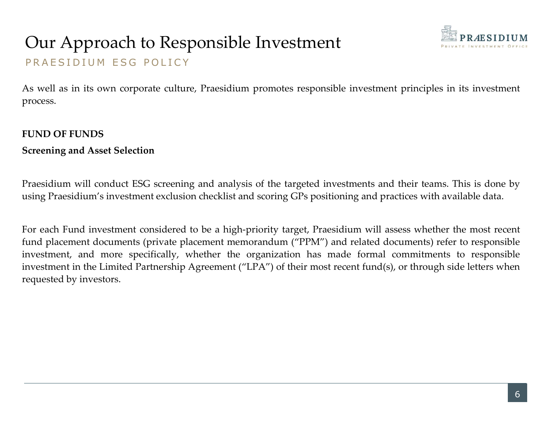## Our Approach to Responsible Investment Our Approach to Responsible Investment<br>PRAESIDIUM ESG POLICY<br>As well as in its own corporate culture, Praesidium promotes responsible investment process. Our Approach to Responsible Inves<br>
PRAESIDIUM ESG POLICY<br>
As well as in its own corporate culture, Praesidium promotes<br>
process.<br>
FUND OF FUNDS<br>
Screening and Asset Selection<br>
Praesidium will conduct ESG screening and anal Our Approach to Responsible Investment<br>
PRAESIDIUM ESG POLICY<br>
As well as in its own corporate culture, Praesidium promotes responsibly<br>
process.<br>
FUND OF FUNDS<br>
Screening and Asset Selection<br>
Praesidium will conduct ESG s



**As well as in its own corporate culture, Praesidium promotes responsible investment principles in its investment process.**<br>FUND OF FUNDS process. **PRAESIDIUM**<br>
PRAESIDIUM ESG POLICY<br>
As well as in its own corporate culture, Praesidium promotes responsible investment principles in its investment<br> **PRAESIDIUM**<br> **EVND OF FUNDS**<br> **Screening and Asset Selection**<br>
Praesid

UNIMEL PRAESIDIUM ESG POLICY<br>
PRAESIDIUM ESG POLICY<br>
As well as in its own corporate culture, Praesidium promotes responsible investment principles in its investment<br>
process.<br>
FUND OF FUNDS<br>
Screening and Asset Selection<br> PRAESIDIUM ESG POLICY<br>
As well as in its own corporate culture, Praesidium promotes responsible investment principles in its investment<br> **FUND OF FUNDS**<br> **Screening and Asset Selection**<br>
Praesidium will conduct ESG screeni As well as in its own corporate culture, Praesidium promotes responsible investment principles in its investment<br>process.<br>**EUND OF FUNDS**<br>**Screening and Asset Selection**<br>Praesidium will conduct ESG screening and analysis o As well as in its own corporate culture, Praesidium promotes responsible investment principles in its investment<br>process.<br> **EUND OF FUNDS**<br> **Screening and Asset Selection**<br> **Praesidium** will conduct ESG screening and analy process.<br> **FUND OF FUNDS**<br> **Screening and Asset Selection**<br> **Praesidium will conduct ESG screening and analysis of the targeted investments and their teams. This is done by<br>
using Praesidium's investment exclusion checklis** FUND OF FUNDS<br>Screening and Asset Selection<br>Praesidium will conduct ESG screening and analysis of the targe<br>using Praesidium's investment exclusion checklist and scoring GPs<br>For each Fund investment considered to be a high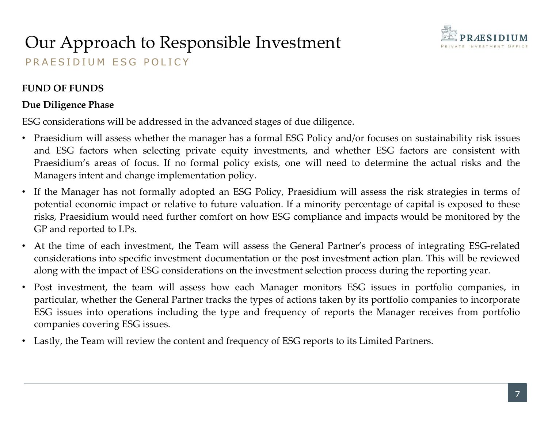

## Our Approach to Responsible Investment Our Approach to Responsible Investment<br>PRAESIDIUM ESG POLICY<br>FUND OF FUNDS Our Approach to Responsible Inves<br>
PRAESIDIUM ESG POLICY<br>
FUND OF FUNDS<br>
Due Diligence Phase<br>
ESG considerations will be addressed in the advanced stages of  $\cdot$ <br>
Praesidium will assess whether the manager has a formal ES Our Approach to Responsible Investm<br>
PRAESIDIUM ESG POLICY<br>
FUND OF FUNDS<br>
Due Diligence Phase<br>
ESG considerations will be addressed in the advanced stages of due of<br>
Praesidium will assess whether the manager has a formal

- **ESG CONSIDERATIONS PRAESIDIUM**<br> **ESG CONSIDERATIONS**<br> **ESG considerations will be addressed in the advanced stages of due diligence.**<br> **ESG considerations will assess whether the manager has a formal ESG Policy and/or foc Example 19 Approach to Responsible Investment**<br>
RAESIDIUM ESG POLICY<br>
ND OF FUNDS<br>
and ESG factors when ether the manager has a formal ESG Policy and/or focuses on sustainability risk issues<br>
Praesidium will assess whethe **Provided Areas of Folio Control Control Control Control Control Control Control Control Considerations will be addressed in the advanced stages of due diligence.<br>
The piligence Phase<br>
Considerations will be addressed in t**
- **Changers in the Managers internal changers in the Anager implementation policy. FORCE IMAGES IDITE DRAGES IDITE:**<br> **ESG** considerations will be addressed in the advanced stages of due diligence.<br>
 Praesidium will asse **PUT Approach to Responsible Investment**<br>
RAESIDIUM ESG POLICY<br>
ND OFFUNDS<br>
Considerations will be addressed in the advanced stages of due diligence.<br>
Praceidium vill assess whether the manager has a formal ESC Policy and/ **EXECT THE CONDUMED INTERT CONDUMED INTERTATE CONDUMED INTERTATE CONDUCT AND OF FUNDS**<br> **EXECUTE CONSECT CONDUMED CONDUCT**<br> **Praesidium will assess whether the manager has a formal ESG Policy and/or focuses on sustainabili** PRAESIDIUM ESG POLICY<br>
FUND OF FUNDS<br>
Due Diligence Phase<br>
ESG considerations will be addressed in the advanced stages of due diligence.<br>
• Praesidium will assess when selecting private equity investments, and whether ESG ND OF FUNDS<br>
considerations will be addressed in the advanced stages of due diligence.<br>
Fraesidium will assess whether the manager has a formal ESG Policy and/or focuses on sustainability risk issues<br>
Praesidium's areas of
- 
- **Due Diligence Phase**<br>
ESG considerations will be addressed in the advanced stages of due diligence.<br>
 Proceidium will assess whether the manager has a formal ESG Policy and/or focuses on sustainability risk issues<br>
and Praesidium will assess whether the manager has a formal ESG Policy and/or focuses on sustainability risk issues<br>and ESG factors when selecting private equity investments, and whether ESG factors are consistent with<br>Praesid Fassimum wan assess wincluding the and formal CSO Follow and CSG factors on sustainatomly first states on the manger intent and ESG factors when selecting private equity investments, and whether ESG factors are consistent and ESG issues. • The Manager monitors ESG issues. • Covering Private equily investments, and whence ESD issues are consistent win<br>Transidium's areas of focus. If no formal policy exists, one will need to determine the act
-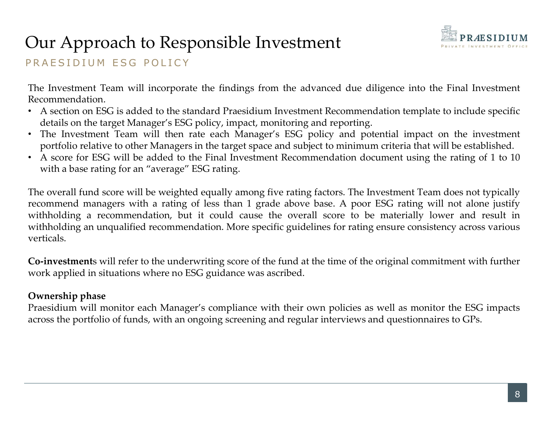## Our Approach to Responsible Investment



Our Approach to Responsible Investment<br>PRAESIDIUM ESG POLICY<br>The Investment Team will incorporate the findings from the advanced due diligence :<br>Recommendation. The Investment Team will incorporate the findings from the advanced due diligence into the Final Investment<br>The Investment Team will incorporate the findings from the advanced due diligence into the Final Investment<br>A sect Recommendation.

- 
- FRAESIDIUM ESG POLICY<br>
 PRAESIDIUM ESG POLICY<br>
 The Investment Team will incorporate the findings from the advanced due diligence into the Final Investment<br>
 A section on ESG is added to the standard Praesidium Investme
- **details on the target Manager's on the target Manager's except Manager's PRAESIDIUM**<br>The Investment Team will incorporate the findings from the advanced due diligence into the Final Investment<br>Recommendation. A section

**Provided relative to other Managers in the target space and subject to the Final Investment Recommendation.**<br>The Investment Team will incorporate the findings from the advanced due diligence into the Final Investment Reco UIT Approach to Responsible Investment<br>AESIDIUM ESG POLICY<br>Envestment Team will incorporate the findings from the advanced due diligence into the<br>commendation.<br>A section on ESG is added to the standard Praesidium Investmen The Investment Team will incorporation in the diversion of the diversion of the End Investment Team will incorporate the findings from the advanced due diligence into the Final Investment Recommendation.<br>
A section on ESG **PRAESIDIUM ESG POLICY**<br> **PRAESIDIUM ESG POLICY**<br> **The Investment Team will incorporate the findings from the advanced due diligence into the Final Investment<br>
Recommendation.<br>
<b>CALCY**<br> **CALCY**<br> **CALCY**<br> **CALCY**<br> **CALCY**<br> **EXECT THE EXECT AS PROTORISHE INVESTMENT CONDUM** TRIMATE INTO THE INVESTING THE INVESTING THE INVESTING THE INVESTING THE INVESTING THE RECOMMENDATION. THE AS SECTO ONE SECTO ACTION (details on the target Manager's ESG po PRAESIDIUM ESG POLICY<br>The Investment Team will incorporate the findings from the advanced due diligence into the Final Investment<br>Recommendation.<br>
• A section on ESG is added to the standard Praesidium Investment Recommen verticals. The Investment ream will refer to the standard Praesidium Investment Recommendation template to include specific<br>
details on the target Manager's ESG policy, impact, monitoring and reporting.<br>
The Investment Team will then **Example 1001.**<br> **Example 1001.**<br> **Example 1001.**<br> **Example 1001.**<br> **Example 12** Assetion on ESG is added to the standard Praesidium Investment Recommendation template to include s<br> **CHE Investment Team** will then rate eac The Investment Team will then rate each Manager's ESG policy, influenced as the method Manager's ESG portfolio relative to other Managers in the target space and sub-<br>
A score for ESG will be added to the Final Investment Provident Learn will monitor at each Manager's compliance with their complicates are provident as the protion relationships of the Final Investment Recommendation document using the rating of 1 to 10 with a base rating fo portion leated to outer wanglets in the darget space and subject to minimal the ria and who be statistical.<br>
• A score for ESG will be added to the Final Investment Recommendation document using the rating of 1 to 10 with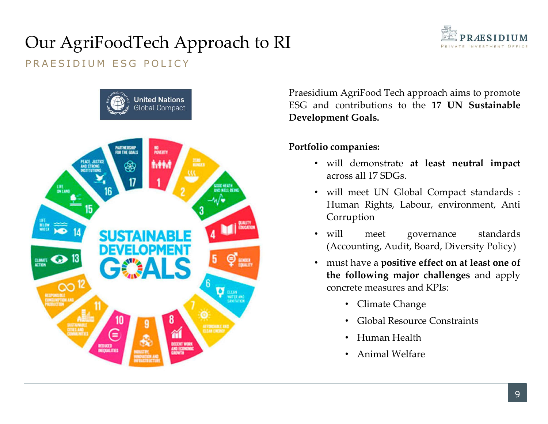# Our AgriFoodTech Approach to RI<br>PRAESIDIUM ESG POLICY<br>Praesidium AgriFood Tech Our AgriFoodTech Approach to RI<br>PRAESIDIUM ESG POLICY<br>Fraesidium AgriFood Tech and Contributions



PRAESIDIUM EST PRAESIDIUM<br>
PRIVATE INVESTMENT OFFICE<br>
PRIVATE INVESTMENT OFFICE<br>
ESG and contributions to the 17 UN Sustainable<br>
Development Goals.<br>
Portfolio companies: PRAESIDIUM<br>
Praesidium AgriFood Tech approach aims to promote<br>
ESG and contributions to the 17 UN Sustainable<br>
Development Goals.<br>
Portfolio companies:<br>
• will demonstrate at least neutral impact Praesidium AgriFood Tech approach aims to promote<br>BSG and contributions to the 17 UN Sustainable<br>Development Goals.<br>Portfolio companies:<br>• will demonstrate at least neutral impact<br>across all 17 SDGs.<br>• will meet UN Global

- 
- **EXAMPLE SIDIUM**<br> **EXAMPLE INTERNATE INVERTABLE CONDUCT**<br> **across all 17 SDGs.**<br>
 will demonstrate at least neutral impact<br>
 will meet UN Global Compact standards :<br>
 will meet UN Global Compact standards :<br>
 Human Rig **EXAMPLE SIDIUM**<br>
MIMAGE INVESTMENT OFFICE<br>
IMMAGE INVESTMENT OFFICE<br> **EXAMPLE CONTIBUTION**<br> **EXAMPLE CONTIGATE:**<br> **COMPAGES:**<br>
WILL demonstrate at least neutral impact<br>
across all 17 SDGs.<br>
WILL meet UN Global Compact sta Corruption dium AgriFood Tech approach aims to promote<br>
and contributions to the 17 UN Sustainable<br>
opment Goals.<br>
• will demonstrate at least neutral impact<br>
• will meet UN Global Compact standards :<br>
• Will meet UN Global Compact s
- 
- dium AgriFood Tech approach aims to promote<br>
and contributions to the 17 UN Sustainable<br>
opment Goals.<br>
 will demonstrate at least neutral impact<br>
 arcs all 17 SDGs.<br>
 will meet UN Global Compact standards :<br>
Human Righ d contributions to the 17 UN Sustainable<br>
ment Goals.<br>
will demonstrate at least neutral impact<br>
across all 17 SDGs.<br>
will meet UN Global Compact standards :<br>
Human Rights, Labour, environment, Anti<br>
Corruption<br>
will meet ment Goals.<br>
will demonstrate at least neutral impact<br>
across all 17 SDGs.<br>
will meet UN Global Compact standards :<br>
Human Rights, Labour, environment, Anti<br>
Corruption<br>
will meet governance standards<br>
(Accounting, Audit,
	-
	- Global Resource Constraints
	- Human Health
	- Animal Welfare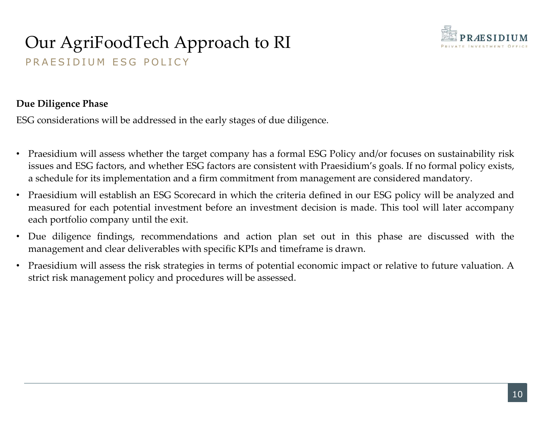

## Our AgriFoodTech Approach to RI<br>PRAESIDIUM ESG POLICY Our AgriFoodTech Approach to RI<br>PRAESIDIUM ESG POLICY<br>We Diligence Phase Our AgriFoodTech Approach to RI<br>
PRAESIDIUM ESG POLICY<br>
Due Diligence Phase<br>
ESG considerations will be addressed in the early stages of due dilige<br>
• Praesidium will assess whether the target company has a formal

- **EXECTIONS CONSIDE CONSIDE CONSIDE AS ASSEMUATES OF A PROPERTY CONSIDERATION**<br> **PRAESIDIUM ESG POLICY**<br> **Due Diligence Phase**<br> **CESC** considerations will be addressed in the early stages of due diligence.<br> **Praesidium will issues and ESG Factors, and We are considered for ESG FACTS for FACTS for FACTS for FACTS for FACTS for FACTS for FACTS for FACTS or FACTS of CONSISTENT WITH PRESIDIUM<br>
Praesidium will assess whether the target company ha Examplementation and a schedule for its implementation and a firm commitment from management are consideration management are considered mandatory.**<br>
• Praesidium will assess whether the target company has a formal ESG Po **COMPROM APPROM APPROM AND SECUTE AND ASSEMUTE AS A SECUTE AND FRACES DUM**<br>
PRAESIDIUM ESG POLICY<br> **ECONS**<br> **ECONS**<br> **ECONS**<br> **ECONS**<br> **PRESSION INVESTMES**<br> **PRESSION INVESTMES**<br> **PRESSION INVESTMES**<br> **PRESSION INVESTMES**<br> existed portfolio company until the exit. • Due Diligence finding with exit. • Due Diligence Phase<br>
FSG considerations will be addressed in the early stages of due diligence.<br>
• Praesidium will assess whether the target co Due Diligence Phase<br>
ESC considerations will be addressed in the early stages of due diligence.<br>
• Praesidium will assess whether the target company has a formal ESC Policy and/or focuses on sustainability risk<br>
issues an G considerations will be addressed in the early stages of due diligence.<br>
Fraesidium will assess whether the target company has a formal ESG Policy and/or focuses on sustainabil<br>
issues and ESG factors, and whether ESG fac
- 
- 
-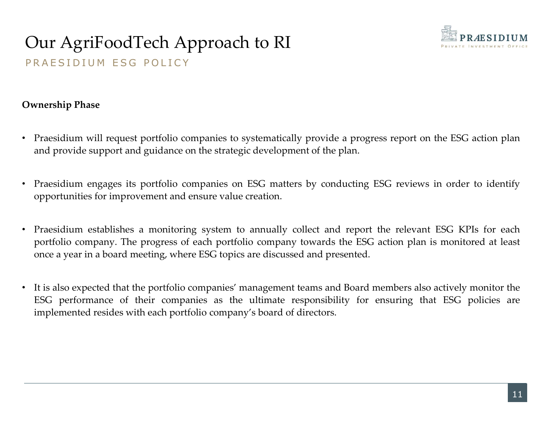

## Our AgriFoodTech Approach to RI<br>PRAESIDIUM ESG POLICY Our AgriFoodTech Approach to RI<br>PRAESIDIUM ESG POLICY<br>Pressip Phase Our AgriFoodTech Approach to RI<br>PRAESIDIUM ESG POLICY<br>Ownership Phase<br>• Praesidium will request portfolio companies to systematically<br>and provide support and guidance on the strategic developme

- FRAESIDIUM ESG POLICY<br>
 PRAESIDIUM ESG POLICY<br>
 Praesidium will request portfolio companies to systematically provide a progress report on the ESG action plan<br>
 Praesidium engages its portfolio companies on ESG matters **EXECTIVE SUPPORT AND PRAESIDIUM**<br>
PRAESIDIUM ESG POLICY<br> **Ownership Phase**<br>
• Praesidium will request portfolio companies to systematically provide a progress report on the ESG action plan<br>
• Praesidium engages its portfo
- 
- **OUT AgriFoodTech Approach to RI**<br>
PRAESIDIUM<br>
PRAESIDIUM ESG POLICY<br>
Ownership Phase<br>
 Praesidium will request portfolio companies to systematically provide a progress report on the ESG action plan<br>
 Praesidium engages Praesidium will request portfolio companies to systematically provide a progress report on the ESG action plan<br>and provide support and guidance on the strategic development of the plan.<br>Praesidium engages its portfolio com
- Ownership Phase<br>
 Praesidium will request portfolio companies to systematically provide a progress report on the ESG action plan<br>
 Praesidium engages its portfolio companies on ESG matters by conducting ESG reviews in or Praesidium will request portfolio companies to systematically provide a progress report on the ESG action plan<br>and provide support and guidance on the strategic development of the plan.<br>Praesidium engages its portfolio com Fraesidium win equest portono companies to systematizary provide a progress report of the ESG action plant<br>and provide support and guidance on the strategic development of the plan.<br>Praesidium engages its portfolio compani